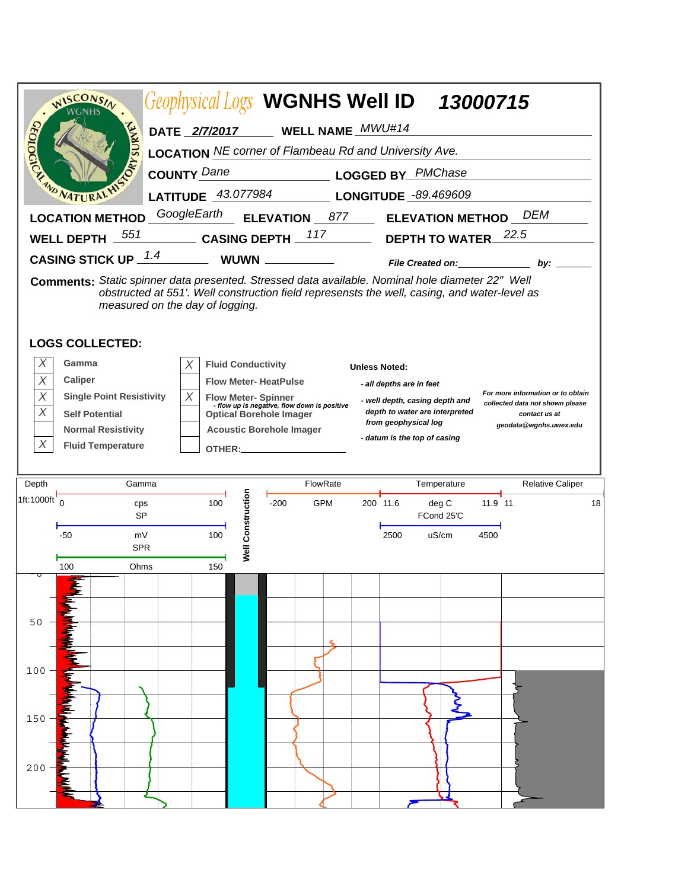|                          | WISCONSIN                                                                                                                  |  |                                 |                                                                                                              | Geophysical Logs WGNHS Well ID 13000715                                                      |                                                                                                         |                      |                                                                                                        |                                             |         |                         |    |
|--------------------------|----------------------------------------------------------------------------------------------------------------------------|--|---------------------------------|--------------------------------------------------------------------------------------------------------------|----------------------------------------------------------------------------------------------|---------------------------------------------------------------------------------------------------------|----------------------|--------------------------------------------------------------------------------------------------------|---------------------------------------------|---------|-------------------------|----|
|                          |                                                                                                                            |  | DATE 2/7/2017                   |                                                                                                              |                                                                                              | WELL NAME_MWU#14                                                                                        |                      |                                                                                                        |                                             |         |                         |    |
|                          | <b>PAYSURY</b>                                                                                                             |  |                                 |                                                                                                              | <b>LOCATION</b> NE corner of Flambeau Rd and University Ave.                                 |                                                                                                         |                      |                                                                                                        |                                             |         |                         |    |
| CEOLOGICN                |                                                                                                                            |  | <b>COUNTY Dane</b>              |                                                                                                              | <b>LOGGED BY</b> PMChase                                                                     |                                                                                                         |                      |                                                                                                        |                                             |         |                         |    |
| <b>WO NATURAL</b>        |                                                                                                                            |  |                                 | <b>LATITUDE</b> 43.077984                                                                                    |                                                                                              |                                                                                                         | LONGITUDE -89.469609 |                                                                                                        |                                             |         |                         |    |
|                          | <b>LOCATION METHOD</b>                                                                                                     |  | GoogleEarth                     |                                                                                                              | <b>ELEVATION</b> 877                                                                         |                                                                                                         |                      |                                                                                                        | <b>ELEVATION METHOD</b> DEM                 |         |                         |    |
|                          | 551<br><b>WELL DEPTH</b>                                                                                                   |  | <b>CASING DEPTH</b>             |                                                                                                              |                                                                                              | 117                                                                                                     |                      |                                                                                                        | DEPTH TO WATER                              |         | 22.5                    |    |
|                          | <b>CASING STICK UP 1.4</b>                                                                                                 |  |                                 | <b>WUWN</b>                                                                                                  |                                                                                              | $\frac{1}{\sqrt{2\pi}}\left(\frac{1}{\sqrt{2\pi}}\right)^{1/2}\left(\frac{1}{\sqrt{2\pi}}\right)^{1/2}$ |                      |                                                                                                        | File Created on: Network of the Created on: |         | by:                     |    |
|                          | Comments: Static spinner data presented. Stressed data available. Nominal hole diameter 22" Well<br><b>LOGS COLLECTED:</b> |  | measured on the day of logging. |                                                                                                              | obstructed at 551'. Well construction field represensts the well, casing, and water-level as |                                                                                                         |                      |                                                                                                        |                                             |         |                         |    |
| X                        | Gamma                                                                                                                      |  |                                 |                                                                                                              |                                                                                              |                                                                                                         |                      |                                                                                                        |                                             |         |                         |    |
| X                        | X<br>Caliper                                                                                                               |  |                                 | <b>Fluid Conductivity</b><br><b>Unless Noted:</b><br><b>Flow Meter-HeatPulse</b><br>- all depths are in feet |                                                                                              |                                                                                                         |                      |                                                                                                        |                                             |         |                         |    |
| X                        | X<br><b>Single Point Resistivity</b>                                                                                       |  |                                 | <b>Flow Meter-Spinner</b><br>- flow up is negative, flow down is positive                                    |                                                                                              |                                                                                                         |                      | For more information or to obtain<br>- well depth, casing depth and<br>collected data not shown please |                                             |         |                         |    |
| X                        | <b>Self Potential</b>                                                                                                      |  |                                 | <b>Optical Borehole Imager</b>                                                                               |                                                                                              |                                                                                                         |                      | depth to water are interpreted<br>contact us at<br>from geophysical log<br>geodata@wgnhs.uwex.edu      |                                             |         |                         |    |
| X                        | <b>Normal Resistivity</b><br><b>Fluid Temperature</b><br>OTHER:                                                            |  |                                 | <b>Acoustic Borehole Imager</b>                                                                              |                                                                                              |                                                                                                         |                      | - datum is the top of casing                                                                           |                                             |         |                         |    |
|                          |                                                                                                                            |  |                                 |                                                                                                              |                                                                                              |                                                                                                         |                      |                                                                                                        |                                             |         |                         |    |
| Depth                    | Gamma                                                                                                                      |  |                                 | FlowRate                                                                                                     |                                                                                              |                                                                                                         | Temperature          |                                                                                                        |                                             |         | <b>Relative Caliper</b> |    |
| 1ft:1000ft $\frac{1}{0}$ |                                                                                                                            |  |                                 |                                                                                                              |                                                                                              |                                                                                                         |                      |                                                                                                        |                                             |         |                         |    |
|                          | cps<br><b>SP</b>                                                                                                           |  | 100                             |                                                                                                              | $-200$                                                                                       | <b>GPM</b>                                                                                              |                      | 200 11.6                                                                                               | deg C<br>FCond 25'C                         | 11.9 11 |                         |    |
|                          | $-50$<br>mV<br><b>SPR</b>                                                                                                  |  | 100                             |                                                                                                              |                                                                                              |                                                                                                         |                      | 2500                                                                                                   | uS/cm                                       | 4500    |                         | 18 |
|                          | 100<br>Ohms                                                                                                                |  | 150                             | <b>Well Construction</b>                                                                                     |                                                                                              |                                                                                                         |                      |                                                                                                        |                                             |         |                         |    |
|                          |                                                                                                                            |  |                                 |                                                                                                              |                                                                                              |                                                                                                         |                      |                                                                                                        |                                             |         |                         |    |
|                          |                                                                                                                            |  |                                 |                                                                                                              |                                                                                              |                                                                                                         |                      |                                                                                                        |                                             |         |                         |    |
| 50                       |                                                                                                                            |  |                                 |                                                                                                              |                                                                                              |                                                                                                         |                      |                                                                                                        |                                             |         |                         |    |
|                          |                                                                                                                            |  |                                 |                                                                                                              |                                                                                              |                                                                                                         |                      |                                                                                                        |                                             |         |                         |    |
| 100                      |                                                                                                                            |  |                                 |                                                                                                              |                                                                                              |                                                                                                         |                      |                                                                                                        |                                             |         |                         |    |
|                          |                                                                                                                            |  |                                 |                                                                                                              |                                                                                              |                                                                                                         |                      |                                                                                                        |                                             |         |                         |    |
| 150                      |                                                                                                                            |  |                                 |                                                                                                              |                                                                                              |                                                                                                         |                      |                                                                                                        |                                             |         |                         |    |
|                          |                                                                                                                            |  |                                 |                                                                                                              |                                                                                              |                                                                                                         |                      |                                                                                                        |                                             |         |                         |    |
|                          |                                                                                                                            |  |                                 |                                                                                                              |                                                                                              |                                                                                                         |                      |                                                                                                        |                                             |         |                         |    |
| 200                      |                                                                                                                            |  |                                 |                                                                                                              |                                                                                              |                                                                                                         |                      |                                                                                                        |                                             |         |                         |    |